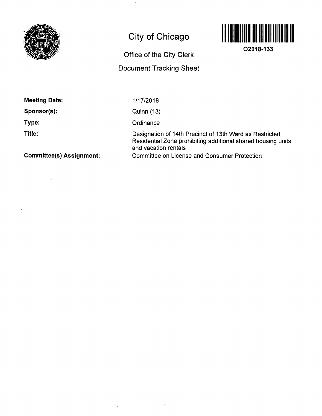

## **City of Chicago**

## **Office of the City Clerk**

## **Document Tracking Sheet**



**02018-133** 

**Sponsor(s):** 

**Type:** 

**Title:** 

1/17/2018

Quinn (13)

**Ordinance** 

 $\ddot{\phantom{a}}$ 

Designation of 14th Precinct of 13th Ward as Restricted Residential Zone prohibiting additional shared housing units and vacation rentals Committee on License and Consumer Protection

**Committee(s) Assignment:**